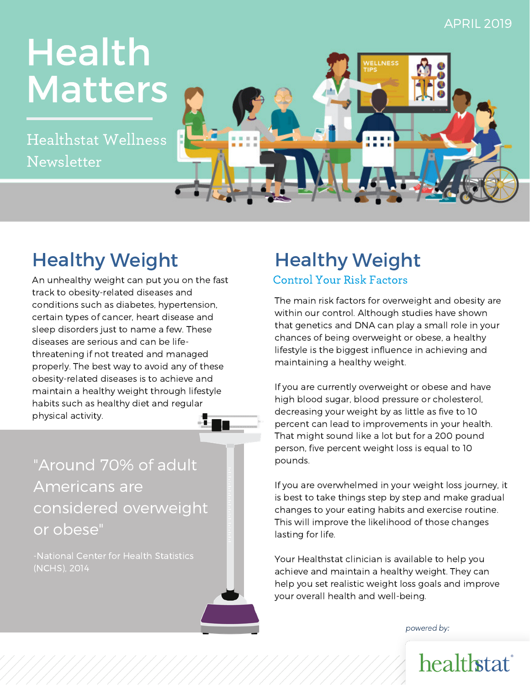#### APRIL 2019

# **Matters** Health

Healthstat weilliess<br>Newsletter Healthstat Wellness



## Healthy Weight

An unhealthy weight can put you on the fast track to obesity-related diseases and conditions such as diabetes, hypertension, certain types of cancer, heart disease and sleep disorders just to name a few. These diseases are serious and can be lifethreatening if not treated and managed properly. The best way to avoid any of these obesity-related diseases is to achieve and maintain a healthy weight through lifestyle habits such as healthy diet and regular physical activity.

"Around 70% of adult Americans are considered overweight or obese"

## Healthy Weight

#### Control Your Risk Factors

The main risk factors for overweight and obesity are within our control. Although studies have shown that genetics and DNA can play a small role in your chances of being overweight or obese, a healthy lifestyle is the biggest influence in achieving and maintaining a healthy weight.

If you are currently overweight or obese and have high blood sugar, blood pressure or cholesterol, decreasing your weight by as little as five to 10 percent can lead to improvements in your health. That might sound like a lot but for a 200 pound person, five percent weight loss is equal to 10 pounds.

If you are overwhelmed in your weight loss journey, it is best to take things step by step and make gradual changes to your eating habits and exercise routine. This will improve the likelihood of those changes lasting for life.

Your Healthstat clinician is available to help you achieve and maintain a healthy weight. They can help you set realistic weight loss goals and improve your overall health and well-being.

powered by: